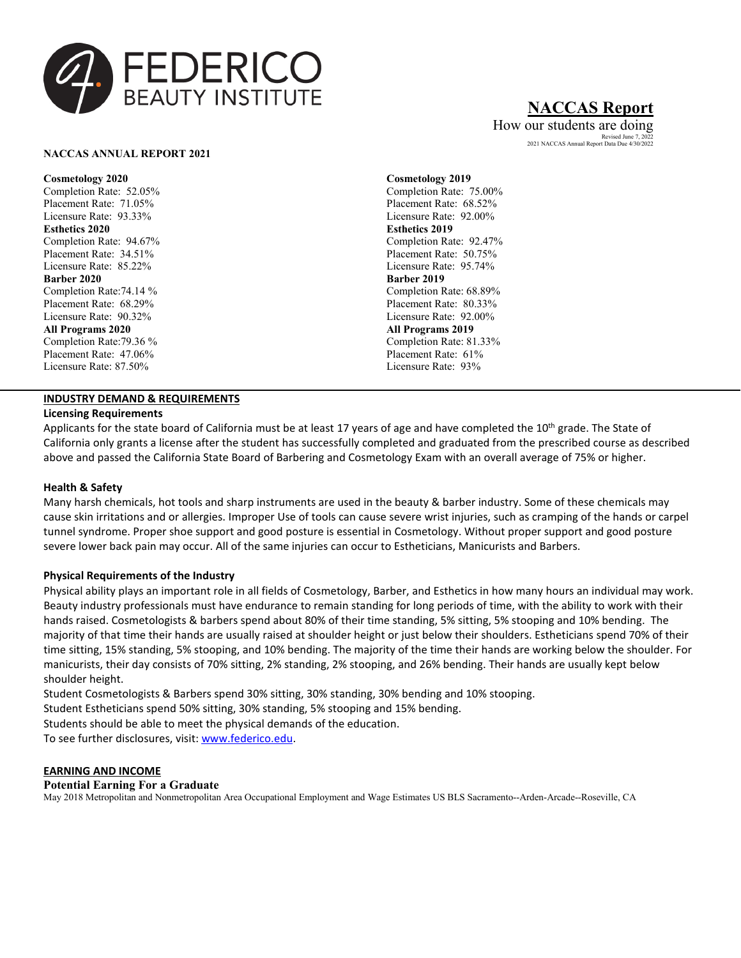

## **NACCAS Report**

How our students are doing Revised June 7, 2022 2021 NACCAS Annual Report Data Due 4/30/2022

#### **NACCAS ANNUAL REPORT 2021**

**Cosmetology 2020** Completion Rate: 52.05% Placement Rate: 71.05% Licensure Rate: 93.33% **Esthetics 2020** Completion Rate: 94.67% Placement Rate: 34.51% Licensure Rate: 85.22% **Barber 2020** Completion Rate:74.14 % Placement Rate: 68.29% Licensure Rate: 90.32% **All Programs 2020** Completion Rate:79.36 % Placement Rate: 47.06% Licensure Rate: 87.50%

### **INDUSTRY DEMAND & REQUIREMENTS**

#### **Licensing Requirements**

**Cosmetology 2019** Completion Rate: 75.00% Placement Rate: 68.52% Licensure Rate: 92.00% **Esthetics 2019** Completion Rate: 92.47% Placement Rate: 50.75% Licensure Rate: 95.74% **Barber 2019** Completion Rate: 68.89% Placement Rate: 80.33% Licensure Rate: 92.00% **All Programs 2019** Completion Rate: 81.33% Placement Rate: 61% Licensure Rate: 93%

Applicants for the state board of California must be at least 17 years of age and have completed the 10<sup>th</sup> grade. The State of California only grants a license after the student has successfully completed and graduated from the prescribed course as described above and passed the California State Board of Barbering and Cosmetology Exam with an overall average of 75% or higher.

#### **Health & Safety**

Many harsh chemicals, hot tools and sharp instruments are used in the beauty & barber industry. Some of these chemicals may cause skin irritations and or allergies. Improper Use of tools can cause severe wrist injuries, such as cramping of the hands or carpel tunnel syndrome. Proper shoe support and good posture is essential in Cosmetology. Without proper support and good posture severe lower back pain may occur. All of the same injuries can occur to Estheticians, Manicurists and Barbers.

#### **Physical Requirements of the Industry**

Physical ability plays an important role in all fields of Cosmetology, Barber, and Esthetics in how many hours an individual may work. Beauty industry professionals must have endurance to remain standing for long periods of time, with the ability to work with their hands raised. Cosmetologists & barbers spend about 80% of their time standing, 5% sitting, 5% stooping and 10% bending. The majority of that time their hands are usually raised at shoulder height or just below their shoulders. Estheticians spend 70% of their time sitting, 15% standing, 5% stooping, and 10% bending. The majority of the time their hands are working below the shoulder. For manicurists, their day consists of 70% sitting, 2% standing, 2% stooping, and 26% bending. Their hands are usually kept below shoulder height.

Student Cosmetologists & Barbers spend 30% sitting, 30% standing, 30% bending and 10% stooping.

Student Estheticians spend 50% sitting, 30% standing, 5% stooping and 15% bending.

Students should be able to meet the physical demands of the education.

To see further disclosures, visit[: www.federico.edu.](http://www.federico.edu/)

#### **EARNING AND INCOME**

#### **Potential Earning For a Graduate**

May 2018 Metropolitan and Nonmetropolitan Area Occupational Employment and Wage Estimates US BLS Sacramento--Arden-Arcade--Roseville, CA